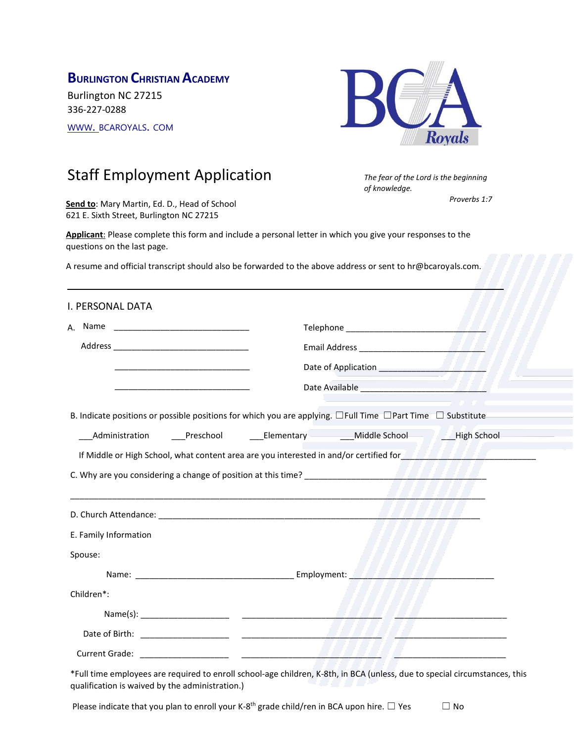## **BURLINGTON CHRISTIAN ACADEMY**

Burlington NC 27215 336-227-0288 [WWW](http://www/). BCAROYALS. COM



*of knowledge.*

*The fear of the Lord is the beginning* 

*Proverbs 1:7*

# Staff Employment Application

**Send to**: Mary Martin, Ed. D., Head of School 621 E. Sixth Street, Burlington NC 27215

**Applicant**: Please complete this form and include a personal letter in which you give your responses to the questions on the last page.

A resume and official transcript should also be forwarded to the above address or sent to hr@bcaroyals.com.

\_\_\_\_\_\_\_\_\_\_\_\_\_\_\_\_\_\_\_\_\_\_\_\_\_\_\_\_\_\_\_\_\_\_\_\_\_\_\_\_\_\_\_\_\_\_\_\_\_\_\_\_\_\_\_\_\_\_\_\_\_\_\_\_\_\_\_\_\_\_\_\_\_\_\_\_\_\_\_\_\_\_\_\_\_

| I. PERSONAL DATA                                                                                                            |                                                                                                                                 |  |
|-----------------------------------------------------------------------------------------------------------------------------|---------------------------------------------------------------------------------------------------------------------------------|--|
|                                                                                                                             |                                                                                                                                 |  |
|                                                                                                                             |                                                                                                                                 |  |
|                                                                                                                             |                                                                                                                                 |  |
|                                                                                                                             |                                                                                                                                 |  |
| B. Indicate positions or possible positions for which you are applying. $\Box$ Full Time $\Box$ Part Time $\Box$ Substitute |                                                                                                                                 |  |
|                                                                                                                             | <b>Middle School Communistration Communisty</b> Chementer Chementary <b>Communistration Chementary</b> Chementary Middle School |  |
|                                                                                                                             | If Middle or High School, what content area are you interested in and/or certified for <b>TATA TATA TATA AREA</b>               |  |
|                                                                                                                             |                                                                                                                                 |  |
|                                                                                                                             |                                                                                                                                 |  |
| E. Family Information                                                                                                       |                                                                                                                                 |  |
| Spouse:                                                                                                                     |                                                                                                                                 |  |
|                                                                                                                             |                                                                                                                                 |  |
| Children*:                                                                                                                  |                                                                                                                                 |  |
|                                                                                                                             |                                                                                                                                 |  |
|                                                                                                                             |                                                                                                                                 |  |
|                                                                                                                             |                                                                                                                                 |  |

\*Full time employees are required to enroll school-age children, K-8th, in BCA (unless, due to special circumstances, this qualification is waived by the administration.)

Please indicate that you plan to enroll your K-8<sup>th</sup> grade child/ren in BCA upon hire.  $\Box$  Yes  $\Box$  No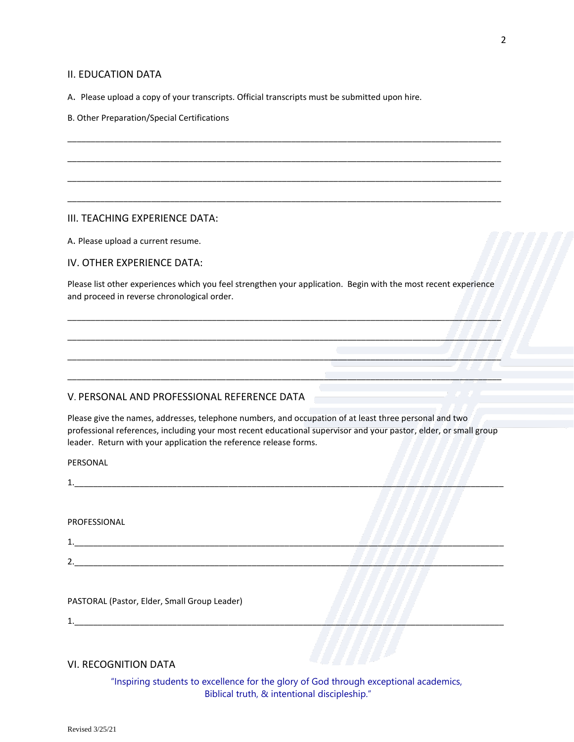#### II. EDUCATION DATA

A. Please upload a copy of your transcripts. Official transcripts must be submitted upon hire.

B. Other Preparation/Special Certifications

#### III. TEACHING EXPERIENCE DATA:

A. Please upload a current resume.

IV. OTHER EXPERIENCE DATA:

Please list other experiences which you feel strengthen your application. Begin with the most recent experience and proceed in reverse chronological order.

\_\_\_\_\_\_\_\_\_\_\_\_\_\_\_\_\_\_\_\_\_\_\_\_\_\_\_\_\_\_\_\_\_\_\_\_\_\_\_\_\_\_\_\_\_\_\_\_\_\_\_\_\_\_\_\_\_\_\_\_\_\_\_\_\_\_\_\_\_\_\_\_\_\_\_\_\_\_\_\_\_\_\_\_\_\_\_\_\_\_\_\_\_

\_\_\_\_\_\_\_\_\_\_\_\_\_\_\_\_\_\_\_\_\_\_\_\_\_\_\_\_\_\_\_\_\_\_\_\_\_\_\_\_\_\_\_\_\_\_\_\_\_\_\_\_\_\_\_\_\_\_\_\_\_\_\_\_\_\_\_\_\_\_\_\_\_\_\_\_\_\_\_\_\_\_\_\_\_\_\_\_\_\_\_\_\_

\_\_\_\_\_\_\_\_\_\_\_\_\_\_\_\_\_\_\_\_\_\_\_\_\_\_\_\_\_\_\_\_\_\_\_\_\_\_\_\_\_\_\_\_\_\_\_\_\_\_\_\_\_\_\_\_\_\_\_\_\_\_\_\_\_\_\_\_\_\_\_\_\_\_\_\_\_\_\_\_\_\_\_\_\_\_\_\_\_\_\_\_\_

\_\_\_\_\_\_\_\_\_\_\_\_\_\_\_\_\_\_\_\_\_\_\_\_\_\_\_\_\_\_\_\_\_\_\_\_\_\_\_\_\_\_\_\_\_\_\_\_\_\_\_\_\_\_\_\_\_\_\_\_\_\_\_\_\_\_\_\_\_\_\_\_\_\_\_\_\_\_\_\_\_\_\_\_\_\_\_\_\_\_\_\_\_

\_\_\_\_\_\_\_\_\_\_\_\_\_\_\_\_\_\_\_\_\_\_\_\_\_\_\_\_\_\_\_\_\_\_\_\_\_\_\_\_\_\_\_\_\_\_\_\_\_\_\_\_\_\_\_\_\_\_\_\_\_\_\_\_\_\_\_\_\_\_\_\_\_\_\_\_\_\_\_\_\_\_\_\_\_\_\_\_\_\_\_\_\_

\_\_\_\_\_\_\_\_\_\_\_\_\_\_\_\_\_\_\_\_\_\_\_\_\_\_\_\_\_\_\_\_\_\_\_\_\_\_\_\_\_\_\_\_\_\_\_\_\_\_\_\_\_\_\_\_\_\_\_\_\_\_\_\_\_\_\_\_\_\_\_\_\_\_\_\_\_\_\_\_\_\_\_\_\_\_\_\_\_\_\_\_\_

\_\_\_\_\_\_\_\_\_\_\_\_\_\_\_\_\_\_\_\_\_\_\_\_\_\_\_\_\_\_\_\_\_\_\_\_\_\_\_\_\_\_\_\_\_\_\_\_\_\_\_\_\_\_\_\_\_\_\_\_\_\_\_\_\_\_\_\_\_\_\_\_\_\_\_\_\_\_\_\_\_\_\_\_\_\_\_\_\_\_\_\_\_

\_\_\_\_\_\_\_\_\_\_\_\_\_\_\_\_\_\_\_\_\_\_\_\_\_\_\_\_\_\_\_\_\_\_\_\_\_\_\_\_\_\_\_\_\_\_\_\_\_\_\_\_\_\_\_\_\_\_\_\_\_\_\_\_\_\_\_\_\_\_\_\_\_\_\_\_\_\_\_\_\_\_\_\_\_\_\_\_\_\_\_\_\_

#### V. PERSONAL AND PROFESSIONAL REFERENCE DATA

Please give the names, addresses, telephone numbers, and occupation of at least three personal and two professional references, including your most recent educational supervisor and your pastor, elder, or small group leader. Return with your application the reference release forms.

PERSONAL

1.\_\_\_\_\_\_\_\_\_\_\_\_\_\_\_\_\_\_\_\_\_\_\_\_\_\_\_\_\_\_\_\_\_\_\_\_\_\_\_\_\_\_\_\_\_\_\_\_\_\_\_\_\_\_\_\_\_\_\_\_\_\_\_\_\_\_\_\_\_\_\_\_\_\_\_\_\_\_\_\_\_\_\_\_\_\_\_\_\_\_\_\_

PROFESSIONAL

1.\_\_\_\_\_\_\_\_\_\_\_\_\_\_\_\_\_\_\_\_\_\_\_\_\_\_\_\_\_\_\_\_\_\_\_\_\_\_\_\_\_\_\_\_\_\_\_\_\_\_\_\_\_\_\_\_\_\_\_\_\_\_\_\_\_\_\_\_\_\_\_\_\_\_\_\_\_\_\_\_\_\_\_\_\_\_\_\_\_\_\_\_

2.\_\_\_\_\_\_\_\_\_\_\_\_\_\_\_\_\_\_\_\_\_\_\_\_\_\_\_\_\_\_\_\_\_\_\_\_\_\_\_\_\_\_\_\_\_\_\_\_\_\_\_\_\_\_\_\_\_\_\_\_\_\_\_\_\_\_\_\_\_\_\_\_\_\_\_\_\_\_\_\_\_\_\_\_\_\_\_\_\_\_\_\_

PASTORAL (Pastor, Elder, Small Group Leader)

1.

#### VI. RECOGNITION DATA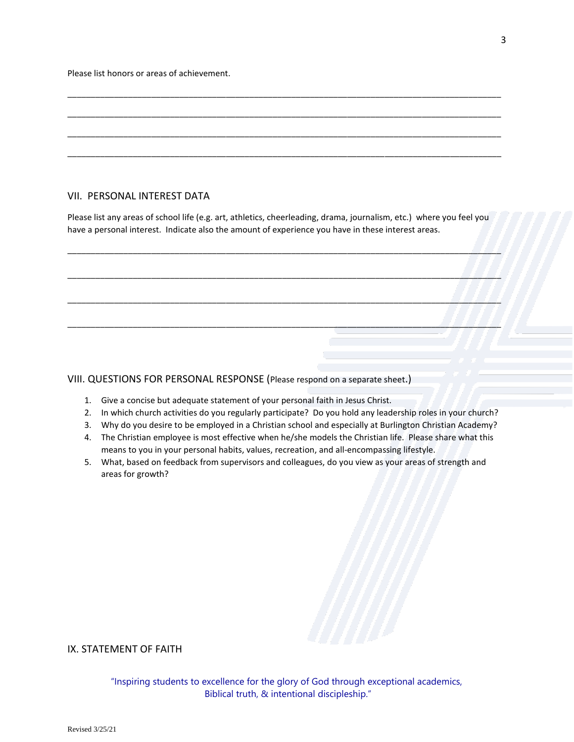Please list honors or areas of achievement.

#### VII. PERSONAL INTEREST DATA

Please list any areas of school life (e.g. art, athletics, cheerleading, drama, journalism, etc.) where you feel you have a personal interest. Indicate also the amount of experience you have in these interest areas.

\_\_\_\_\_\_\_\_\_\_\_\_\_\_\_\_\_\_\_\_\_\_\_\_\_\_\_\_\_\_\_\_\_\_\_\_\_\_\_\_\_\_\_\_\_\_\_\_\_\_\_\_\_\_\_\_\_\_\_\_\_\_\_\_\_\_\_\_\_\_\_\_\_\_\_\_\_\_\_\_\_\_\_\_\_\_\_\_\_\_\_\_\_

\_\_\_\_\_\_\_\_\_\_\_\_\_\_\_\_\_\_\_\_\_\_\_\_\_\_\_\_\_\_\_\_\_\_\_\_\_\_\_\_\_\_\_\_\_\_\_\_\_\_\_\_\_\_\_\_\_\_\_\_\_\_\_\_\_\_\_\_\_\_\_\_\_\_\_\_\_\_\_\_\_\_\_\_\_\_\_\_\_\_\_\_\_

\_\_\_\_\_\_\_\_\_\_\_\_\_\_\_\_\_\_\_\_\_\_\_\_\_\_\_\_\_\_\_\_\_\_\_\_\_\_\_\_\_\_\_\_\_\_\_\_\_\_\_\_\_\_\_\_\_\_\_\_\_\_\_\_\_\_\_\_\_\_\_\_\_\_\_\_\_\_\_\_\_\_\_\_\_\_\_\_\_\_\_\_\_

\_\_\_\_\_\_\_\_\_\_\_\_\_\_\_\_\_\_\_\_\_\_\_\_\_\_\_\_\_\_\_\_\_\_\_\_\_\_\_\_\_\_\_\_\_\_\_\_\_\_\_\_\_\_\_\_\_\_\_\_\_\_\_\_\_\_\_\_\_\_\_\_\_\_\_\_\_\_\_\_\_\_\_\_\_\_\_\_\_\_\_\_\_

\_\_\_\_\_\_\_\_\_\_\_\_\_\_\_\_\_\_\_\_\_\_\_\_\_\_\_\_\_\_\_\_\_\_\_\_\_\_\_\_\_\_\_\_\_\_\_\_\_\_\_\_\_\_\_\_\_\_\_\_\_\_\_\_\_\_\_\_\_\_\_\_\_\_\_\_\_\_\_\_\_\_\_\_\_\_\_\_\_\_\_\_\_

\_\_\_\_\_\_\_\_\_\_\_\_\_\_\_\_\_\_\_\_\_\_\_\_\_\_\_\_\_\_\_\_\_\_\_\_\_\_\_\_\_\_\_\_\_\_\_\_\_\_\_\_\_\_\_\_\_\_\_\_\_\_\_\_\_\_\_\_\_\_\_\_\_\_\_\_\_\_\_\_\_\_\_\_\_\_\_\_\_\_\_\_\_

\_\_\_\_\_\_\_\_\_\_\_\_\_\_\_\_\_\_\_\_\_\_\_\_\_\_\_\_\_\_\_\_\_\_\_\_\_\_\_\_\_\_\_\_\_\_\_\_\_\_\_\_\_\_\_\_\_\_\_\_\_\_\_\_\_\_\_\_\_\_\_\_\_\_\_\_\_\_\_\_\_\_\_\_\_\_\_\_\_\_\_\_\_

\_\_\_\_\_\_\_\_\_\_\_\_\_\_\_\_\_\_\_\_\_\_\_\_\_\_\_\_\_\_\_\_\_\_\_\_\_\_\_\_\_\_\_\_\_\_\_\_\_\_\_\_\_\_\_\_\_\_\_\_\_\_\_\_\_\_\_\_\_\_\_\_\_\_\_\_\_\_\_\_\_\_\_\_\_\_\_\_\_\_\_\_\_

VIII. QUESTIONS FOR PERSONAL RESPONSE (Please respond on a separate sheet.)

- 1. Give a concise but adequate statement of your personal faith in Jesus Christ.
- 2. In which church activities do you regularly participate? Do you hold any leadership roles in your church?
- 3. Why do you desire to be employed in a Christian school and especially at Burlington Christian Academy?
- 4. The Christian employee is most effective when he/she models the Christian life. Please share what this means to you in your personal habits, values, recreation, and all-encompassing lifestyle.
- 5. What, based on feedback from supervisors and colleagues, do you view as your areas of strength and areas for growth?

### IX. STATEMENT OF FAITH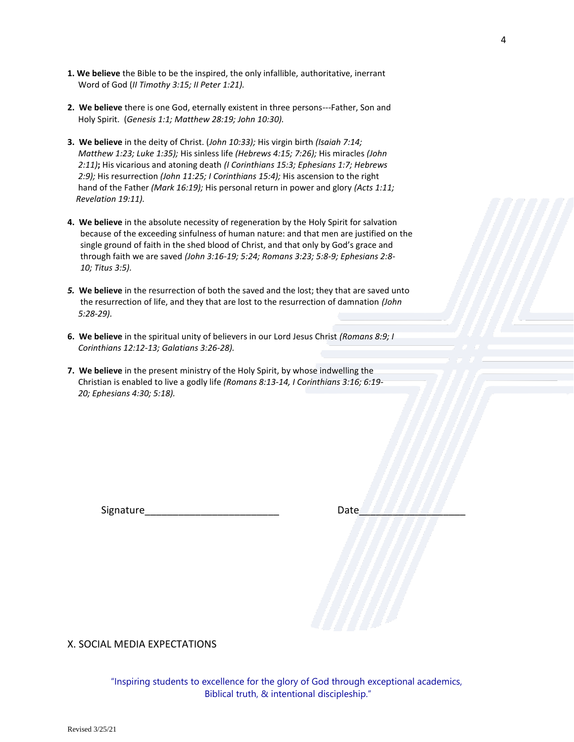- **1. We believe** the Bible to be the inspired, the only infallible, authoritative, inerrant Word of God (*II Timothy 3:15; II Peter 1:21).*
- **2. We believe** there is one God, eternally existent in three persons---Father, Son and Holy Spirit. (*Genesis 1:1; Matthew 28:19; John 10:30).*
- **3. We believe** in the deity of Christ. (*John 10:33);* His virgin birth *(Isaiah 7:14; Matthew 1:23; Luke 1:35);* His sinless life *(Hebrews 4:15; 7:26);* His miracles *(John 2:11)***;** His vicarious and atoning death *(I Corinthians 15:3; Ephesians 1:7; Hebrews 2:9);* His resurrection *(John 11:25; I Corinthians 15:4);* His ascension to the right hand of the Father *(Mark 16:19);* His personal return in power and glory *(Acts 1:11; Revelation 19:11).*
- **4. We believe** in the absolute necessity of regeneration by the Holy Spirit for salvation because of the exceeding sinfulness of human nature: and that men are justified on the single ground of faith in the shed blood of Christ, and that only by God's grace and through faith we are saved *(John 3:16-19; 5:24; Romans 3:23; 5:8-9; Ephesians 2:8- 10; Titus 3:5).*
- *5.* **We believe** in the resurrection of both the saved and the lost; they that are saved unto the resurrection of life, and they that are lost to the resurrection of damnation *(John 5:28-29).*
- **6. We believe** in the spiritual unity of believers in our Lord Jesus Christ *(Romans 8:9; I Corinthians 12:12-13; Galatians 3:26-28).*
- **7. We believe** in the present ministry of the Holy Spirit, by whose indwelling the Christian is enabled to live a godly life *(Romans 8:13-14, I Corinthians 3:16; 6:19- 20; Ephesians 4:30; 5:18).*

Signature\_\_\_\_\_\_\_\_\_\_\_\_\_\_\_\_\_\_\_\_\_\_\_\_ Date\_\_\_\_\_\_\_\_\_\_\_\_\_\_\_\_\_\_\_

X. SOCIAL MEDIA EXPECTATIONS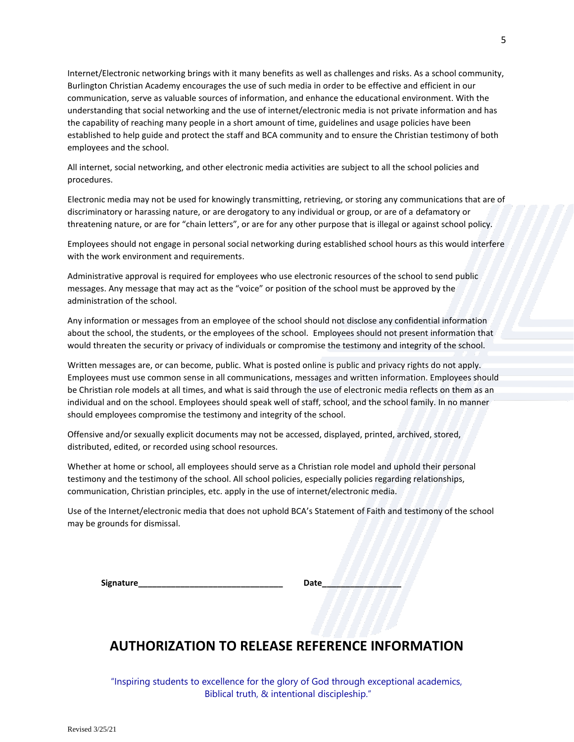Internet/Electronic networking brings with it many benefits as well as challenges and risks. As a school community, Burlington Christian Academy encourages the use of such media in order to be effective and efficient in our communication, serve as valuable sources of information, and enhance the educational environment. With the understanding that social networking and the use of internet/electronic media is not private information and has the capability of reaching many people in a short amount of time, guidelines and usage policies have been established to help guide and protect the staff and BCA community and to ensure the Christian testimony of both employees and the school.

All internet, social networking, and other electronic media activities are subject to all the school policies and procedures.

Electronic media may not be used for knowingly transmitting, retrieving, or storing any communications that are of discriminatory or harassing nature, or are derogatory to any individual or group, or are of a defamatory or threatening nature, or are for "chain letters", or are for any other purpose that is illegal or against school policy.

Employees should not engage in personal social networking during established school hours as this would interfere with the work environment and requirements.

Administrative approval is required for employees who use electronic resources of the school to send public messages. Any message that may act as the "voice" or position of the school must be approved by the administration of the school.

Any information or messages from an employee of the school should not disclose any confidential information about the school, the students, or the employees of the school. Employees should not present information that would threaten the security or privacy of individuals or compromise the testimony and integrity of the school.

Written messages are, or can become, public. What is posted online is public and privacy rights do not apply. Employees must use common sense in all communications, messages and written information. Employees should be Christian role models at all times, and what is said through the use of electronic media reflects on them as an individual and on the school. Employees should speak well of staff, school, and the school family. In no manner should employees compromise the testimony and integrity of the school.

Offensive and/or sexually explicit documents may not be accessed, displayed, printed, archived, stored, distributed, edited, or recorded using school resources.

Whether at home or school, all employees should serve as a Christian role model and uphold their personal testimony and the testimony of the school. All school policies, especially policies regarding relationships, communication, Christian principles, etc. apply in the use of internet/electronic media.

Use of the Internet/electronic media that does not uphold BCA's Statement of Faith and testimony of the school may be grounds for dismissal.

**Signature\_\_\_\_\_\_\_\_\_\_\_\_\_\_\_\_\_\_\_\_\_\_\_\_\_\_\_\_\_\_\_ Date\_\_\_\_\_\_\_\_\_\_\_\_\_\_\_\_\_**

## **AUTHORIZATION TO RELEASE REFERENCE INFORMATION**